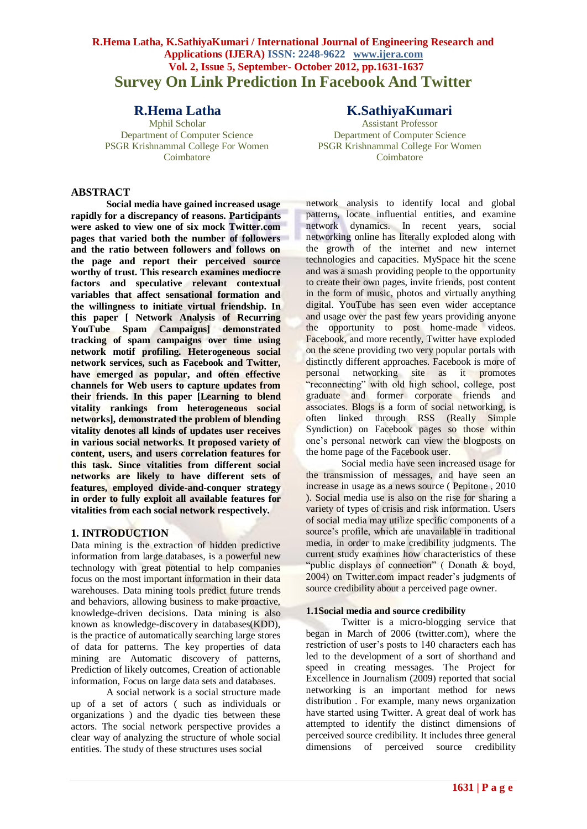# **R.Hema Latha, K.SathiyaKumari / International Journal of Engineering Research and Applications (IJERA) ISSN: 2248-9622 www.ijera.com Vol. 2, Issue 5, September- October 2012, pp.1631-1637 Survey On Link Prediction In Facebook And Twitter**

# **ABSTRACT**

**Social media have gained increased usage rapidly for a discrepancy of reasons. Participants were asked to view one of six mock Twitter.com pages that varied both the number of followers and the ratio between followers and follows on the page and report their perceived source worthy of trust. This research examines mediocre factors and speculative relevant contextual variables that affect sensational formation and the willingness to initiate virtual friendship. In this paper [ Network Analysis of Recurring YouTube Spam Campaigns] demonstrated tracking of spam campaigns over time using network motif profiling. Heterogeneous social network services, such as Facebook and Twitter, have emerged as popular, and often effective channels for Web users to capture updates from their friends. In this paper [Learning to blend vitality rankings from heterogeneous social networks], demonstrated the problem of blending vitality denotes all kinds of updates user receives in various social networks. It proposed variety of content, users, and users correlation features for this task. Since vitalities from different social networks are likely to have different sets of features, employed divide-and-conquer strategy in order to fully exploit all available features for vitalities from each social network respectively.** 

# **1. INTRODUCTION**

Data mining is the extraction of hidden predictive information from large databases, is a powerful new technology with great potential to help companies focus on the most important information in their data warehouses. Data mining tools predict future trends and behaviors, allowing business to make proactive, knowledge-driven decisions. Data mining is also known as knowledge-discovery in databases(KDD), is the practice of automatically searching large stores of data for patterns. The key properties of data mining are Automatic discovery of patterns, Prediction of likely outcomes, Creation of actionable information, Focus on large data sets and databases.

A social network is a social structure made up of a set of actors ( such as individuals or organizations ) and the dyadic ties between these actors. The social network perspective provides a clear way of analyzing the structure of whole social entities. The study of these structures uses social

# **R.Hema Latha K.SathiyaKumari**<br>Mphil Scholar **K.SathiyaKumari**

Assistant Professor Department of Computer Science Department of Computer Science PSGR Krishnammal College For Women PSGR Krishnammal College For Women Coimbatore Coimbatore

> network analysis to identify local and global patterns, locate influential entities, and examine network dynamics. In recent years, social networking online has literally exploded along with the growth of the internet and new internet technologies and capacities. MySpace hit the scene and was a smash providing people to the opportunity to create their own pages, invite friends, post content in the form of music, photos and virtually anything digital. YouTube has seen even wider acceptance and usage over the past few years providing anyone the opportunity to post home-made videos. Facebook, and more recently, Twitter have exploded on the scene providing two very popular portals with distinctly different approaches. Facebook is more of personal networking site as it promotes "reconnecting" with old high school, college, post graduate and former corporate friends and associates. Blogs is a form of social networking, is often linked through RSS (Really Simple Syndiction) on Facebook pages so those within one's personal network can view the blogposts on the home page of the Facebook user.

> Social media have seen increased usage for the transmission of messages, and have seen an increase in usage as a news source ( Pepitone , 2010 ). Social media use is also on the rise for sharing a variety of types of crisis and risk information. Users of social media may utilize specific components of a source's profile, which are unavailable in traditional media, in order to make credibility judgments. The current study examines how characteristics of these "public displays of connection" (Donath & boyd, 2004) on Twitter.com impact reader's judgments of source credibility about a perceived page owner.

## **1.1Social media and source credibility**

Twitter is a micro-blogging service that began in March of 2006 (twitter.com), where the restriction of user's posts to 140 characters each has led to the development of a sort of shorthand and speed in creating messages. The Project for Excellence in Journalism (2009) reported that social networking is an important method for news distribution . For example, many news organization have started using Twitter. A great deal of work has attempted to identify the distinct dimensions of perceived source credibility. It includes three general dimensions of perceived source credibility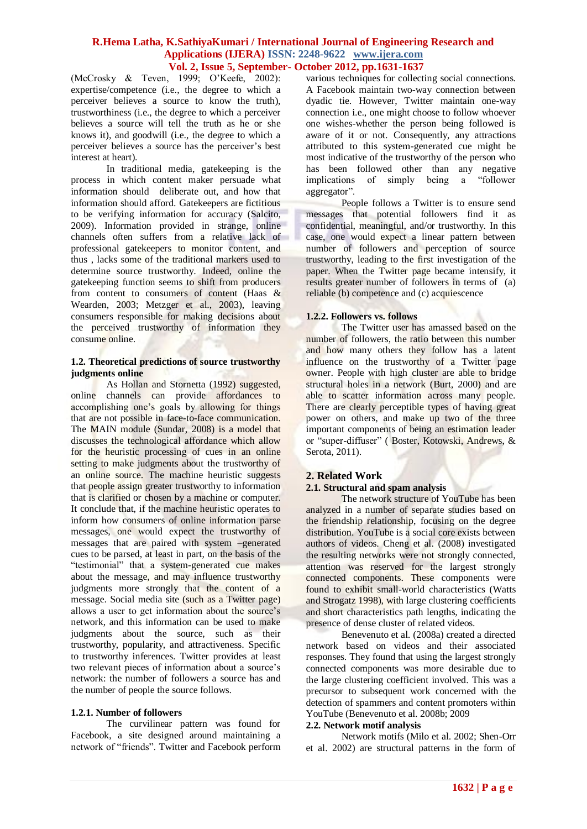(McCrosky & Teven, 1999; O'Keefe, 2002): expertise/competence (i.e., the degree to which a perceiver believes a source to know the truth), trustworthiness (i.e., the degree to which a perceiver believes a source will tell the truth as he or she knows it), and goodwill (i.e., the degree to which a perceiver believes a source has the perceiver's best interest at heart).

In traditional media, gatekeeping is the process in which content maker persuade what information should deliberate out, and how that information should afford. Gatekeepers are fictitious to be verifying information for accuracy (Salcito, 2009). Information provided in strange, online channels often suffers from a relative lack of professional gatekeepers to monitor content, and thus , lacks some of the traditional markers used to determine source trustworthy. Indeed, online the gatekeeping function seems to shift from producers from content to consumers of content (Haas & Wearden, 2003; Metzger et al., 2003), leaving consumers responsible for making decisions about the perceived trustworthy of information they consume online.

#### **1.2. Theoretical predictions of source trustworthy judgments online**

As Hollan and Stornetta (1992) suggested, online channels can provide affordances to accomplishing one's goals by allowing for things that are not possible in face-to-face communication. The MAIN module (Sundar, 2008) is a model that discusses the technological affordance which allow for the heuristic processing of cues in an online setting to make judgments about the trustworthy of an online source. The machine heuristic suggests that people assign greater trustworthy to information that is clarified or chosen by a machine or computer. It conclude that, if the machine heuristic operates to inform how consumers of online information parse messages, one would expect the trustworthy of messages that are paired with system –generated cues to be parsed, at least in part, on the basis of the "testimonial" that a system-generated cue makes about the message, and may influence trustworthy judgments more strongly that the content of a message. Social media site (such as a Twitter page) allows a user to get information about the source's network, and this information can be used to make judgments about the source, such as their trustworthy, popularity, and attractiveness. Specific to trustworthy inferences. Twitter provides at least two relevant pieces of information about a source's network: the number of followers a source has and the number of people the source follows.

# **1.2.1. Number of followers**

The curvilinear pattern was found for Facebook, a site designed around maintaining a network of "friends". Twitter and Facebook perform

various techniques for collecting social connections. A Facebook maintain two-way connection between dyadic tie. However, Twitter maintain one-way connection i.e., one might choose to follow whoever one wishes-whether the person being followed is aware of it or not. Consequently, any attractions attributed to this system-generated cue might be most indicative of the trustworthy of the person who has been followed other than any negative implications of simply being a "follower aggregator".

People follows a Twitter is to ensure send messages that potential followers find it as confidential, meaningful, and/or trustworthy. In this case, one would expect a linear pattern between number of followers and perception of source trustworthy, leading to the first investigation of the paper. When the Twitter page became intensify, it results greater number of followers in terms of (a) reliable (b) competence and (c) acquiescence

# **1.2.2. Followers vs. follows**

The Twitter user has amassed based on the number of followers, the ratio between this number and how many others they follow has a latent influence on the trustworthy of a Twitter page owner. People with high cluster are able to bridge structural holes in a network (Burt, 2000) and are able to scatter information across many people. There are clearly perceptible types of having great power on others, and make up two of the three important components of being an estimation leader or "super-diffuser" ( Boster, Kotowski, Andrews, & Serota, 2011).

# **2. Related Work**

# **2.1. Structural and spam analysis**

The network structure of YouTube has been analyzed in a number of separate studies based on the friendship relationship, focusing on the degree distribution. YouTube is a social core exists between authors of videos. Cheng et al. (2008) investigated the resulting networks were not strongly connected, attention was reserved for the largest strongly connected components. These components were found to exhibit small-world characteristics (Watts and Strogatz 1998), with large clustering coefficients and short characteristics path lengths, indicating the presence of dense cluster of related videos.

Benevenuto et al. (2008a) created a directed network based on videos and their associated responses. They found that using the largest strongly connected components was more desirable due to the large clustering coefficient involved. This was a precursor to subsequent work concerned with the detection of spammers and content promoters within YouTube (Benevenuto et al. 2008b; 2009

# **2.2. Network motif analysis**

Network motifs (Milo et al. 2002; Shen-Orr et al. 2002) are structural patterns in the form of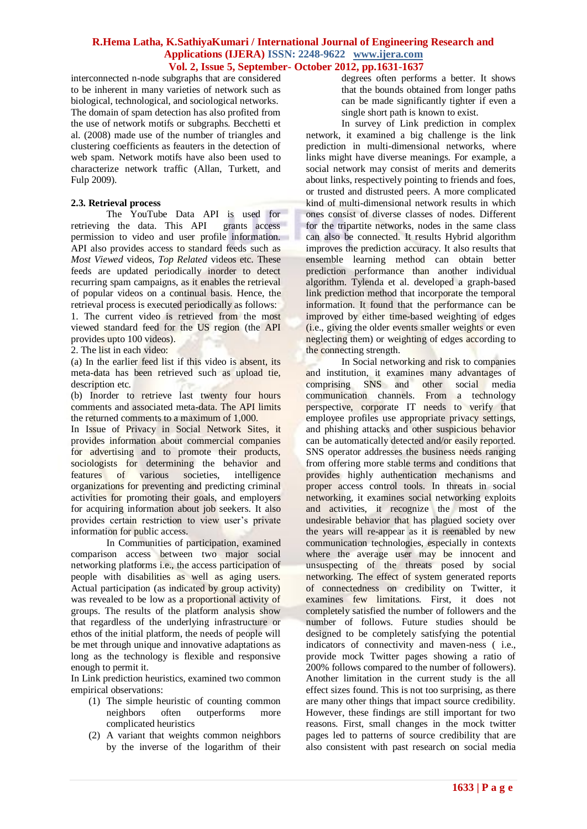interconnected n-node subgraphs that are considered to be inherent in many varieties of network such as biological, technological, and sociological networks. The domain of spam detection has also profited from the use of network motifs or subgraphs. Becchetti et al. (2008) made use of the number of triangles and clustering coefficients as feauters in the detection of web spam. Network motifs have also been used to characterize network traffic (Allan, Turkett, and Fulp 2009).

# **2.3. Retrieval process**

The YouTube Data API is used for retrieving the data. This API grants access permission to video and user profile information. API also provides access to standard feeds such as *Most Viewed* videos, *Top Related* videos etc. These feeds are updated periodically inorder to detect recurring spam campaigns, as it enables the retrieval of popular videos on a continual basis. Hence, the retrieval process is executed periodically as follows: 1. The current video is retrieved from the most

viewed standard feed for the US region (the API provides upto 100 videos).

2. The list in each video:

(a) In the earlier feed list if this video is absent, its meta-data has been retrieved such as upload tie, description etc.

(b) Inorder to retrieve last twenty four hours comments and associated meta-data. The API limits the returned comments to a maximum of 1,000.

In Issue of Privacy in Social Network Sites, it provides information about commercial companies for advertising and to promote their products, sociologists for determining the behavior and features of various societies, intelligence organizations for preventing and predicting criminal activities for promoting their goals, and employers for acquiring information about job seekers. It also provides certain restriction to view user's private information for public access.

In Communities of participation, examined comparison access between two major social networking platforms i.e., the access participation of people with disabilities as well as aging users. Actual participation (as indicated by group activity) was revealed to be low as a proportional activity of groups. The results of the platform analysis show that regardless of the underlying infrastructure or ethos of the initial platform, the needs of people will be met through unique and innovative adaptations as long as the technology is flexible and responsive enough to permit it.

In Link prediction heuristics, examined two common empirical observations:

- (1) The simple heuristic of counting common neighbors often outperforms more complicated heuristics
- (2) A variant that weights common neighbors by the inverse of the logarithm of their

degrees often performs a better. It shows that the bounds obtained from longer paths can be made significantly tighter if even a single short path is known to exist.

In survey of Link prediction in complex network, it examined a big challenge is the link prediction in multi-dimensional networks, where links might have diverse meanings. For example, a social network may consist of merits and demerits about links, respectively pointing to friends and foes, or trusted and distrusted peers. A more complicated kind of multi-dimensional network results in which ones consist of diverse classes of nodes. Different for the tripartite networks, nodes in the same class can also be connected. It results Hybrid algorithm improves the prediction accuracy. It also results that ensemble learning method can obtain better prediction performance than another individual algorithm. Tylenda et al. developed a graph-based link prediction method that incorporate the temporal information. It found that the performance can be improved by either time-based weighting of edges (i.e., giving the older events smaller weights or even neglecting them) or weighting of edges according to the connecting strength.

In Social networking and risk to companies and institution, it examines many advantages of comprising SNS and other social media communication channels. From a technology perspective, corporate IT needs to verify that employee profiles use appropriate privacy settings, and phishing attacks and other suspicious behavior can be automatically detected and/or easily reported. SNS operator addresses the business needs ranging from offering more stable terms and conditions that provides highly authentication mechanisms and proper access control tools. In threats in social networking, it examines social networking exploits and activities, it recognize the most of the undesirable behavior that has plagued society over the years will re-appear as it is reenabled by new communication technologies, especially in contexts where the average user may be innocent and unsuspecting of the threats posed by social networking. The effect of system generated reports of connectedness on credibility on Twitter, it examines few limitations. First, it does not completely satisfied the number of followers and the number of follows. Future studies should be designed to be completely satisfying the potential indicators of connectivity and maven-ness ( i.e., provide mock Twitter pages showing a ratio of 200% follows compared to the number of followers). Another limitation in the current study is the all effect sizes found. This is not too surprising, as there are many other things that impact source credibility. However, these findings are still important for two reasons. First, small changes in the mock twitter pages led to patterns of source credibility that are also consistent with past research on social media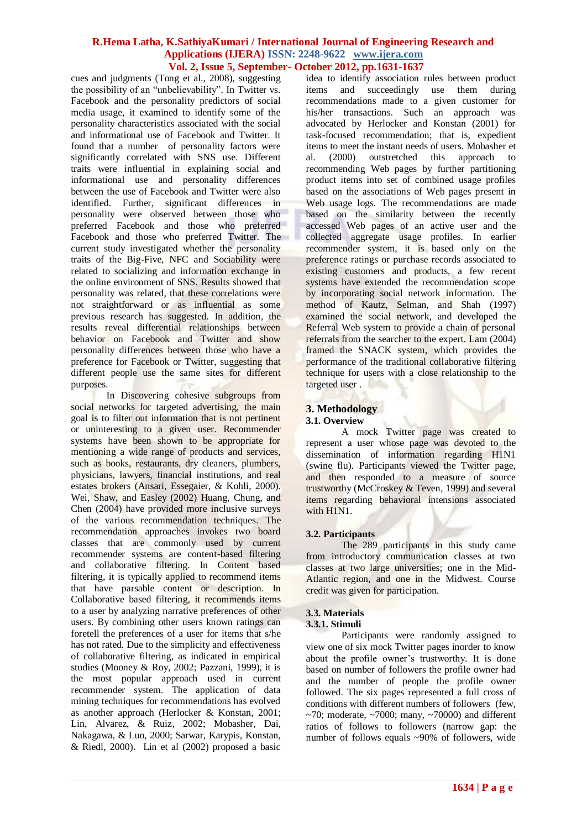cues and judgments (Tong et al., 2008), suggesting the possibility of an "unbelievability". In Twitter vs. Facebook and the personality predictors of social media usage, it examined to identify some of the personality characteristics associated with the social and informational use of Facebook and Twitter. It found that a number of personality factors were significantly correlated with SNS use. Different traits were influential in explaining social and informational use and personality differences between the use of Facebook and Twitter were also identified. Further, significant differences in personality were observed between those who preferred Facebook and those who preferred Facebook and those who preferred Twitter. The current study investigated whether the personality traits of the Big-Five, NFC and Sociability were related to socializing and information exchange in the online environment of SNS. Results showed that personality was related, that these correlations were not straightforward or as influential as some previous research has suggested. In addition, the results reveal differential relationships between behavior on Facebook and Twitter and show personality differences between those who have a preference for Facebook or Twitter, suggesting that different people use the same sites for different purposes.

In Discovering cohesive subgroups from social networks for targeted advertising, the main goal is to filter out information that is not pertinent or uninteresting to a given user. Recommender systems have been shown to be appropriate for mentioning a wide range of products and services, such as books, restaurants, dry cleaners, plumbers, physicians, lawyers, financial institutions, and real estates brokers (Ansari, Essegaier, & Kohli, 2000). Wei, Shaw, and Easley (2002) Huang, Chung, and Chen (2004) have provided more inclusive surveys of the various recommendation techniques. The recommendation approaches invokes two board classes that are commonly used by current recommender systems are content-based filtering and collaborative filtering. In Content based filtering, it is typically applied to recommend items that have parsable content or description. In Collaborative based filtering, it recommends items to a user by analyzing narrative preferences of other users. By combining other users known ratings can foretell the preferences of a user for items that s/he has not rated. Due to the simplicity and effectiveness of collaborative filtering, as indicated in empirical studies (Mooney & Roy, 2002; Pazzani, 1999), it is the most popular approach used in current recommender system. The application of data mining techniques for recommendations has evolved as another approach (Herlocker & Konstan, 2001; Lin, Alvarez, & Ruiz, 2002; Mobasher, Dai, Nakagawa, & Luo, 2000; Sarwar, Karypis, Konstan, & Riedl, 2000). Lin et al (2002) proposed a basic

idea to identify association rules between product items and succeedingly use them during recommendations made to a given customer for his/her transactions. Such an approach was advocated by Herlocker and Konstan (2001) for task-focused recommendation; that is, expedient items to meet the instant needs of users. Mobasher et al. (2000) outstretched this approach to al. (2000) outstretched this approach to recommending Web pages by further partitioning product items into set of combined usage profiles based on the associations of Web pages present in Web usage logs. The recommendations are made based on the similarity between the recently accessed Web pages of an active user and the collected aggregate usage profiles. In earlier recommender system, it is based only on the preference ratings or purchase records associated to existing customers and products, a few recent systems have extended the recommendation scope by incorporating social network information. The method of Kautz, Selman, and Shah (1997) examined the social network, and developed the Referral Web system to provide a chain of personal referrals from the searcher to the expert. Lam (2004) framed the SNACK system, which provides the performance of the traditional collaborative filtering technique for users with a close relationship to the targeted user .

#### **3. Methodology 3.1. Overview**

A mock Twitter page was created to represent a user whose page was devoted to the dissemination of information regarding H1N1 (swine flu). Participants viewed the Twitter page, and then responded to a measure of source trustworthy (McCroskey & Teven, 1999) and several items regarding behavioral intensions associated with H1N1.

# **3.2. Participants**

The 289 participants in this study came from introductory communication classes at two classes at two large universities; one in the Mid-Atlantic region, and one in the Midwest. Course credit was given for participation.

# **3.3. Materials**

## **3.3.1. Stimuli**

Participants were randomly assigned to view one of six mock Twitter pages inorder to know about the profile owner's trustworthy. It is done based on number of followers the profile owner had and the number of people the profile owner followed. The six pages represented a full cross of conditions with different numbers of followers (few,  $\sim$ 70; moderate,  $\sim$ 7000; many,  $\sim$ 70000) and different ratios of follows to followers (narrow gap: the number of follows equals ~90% of followers, wide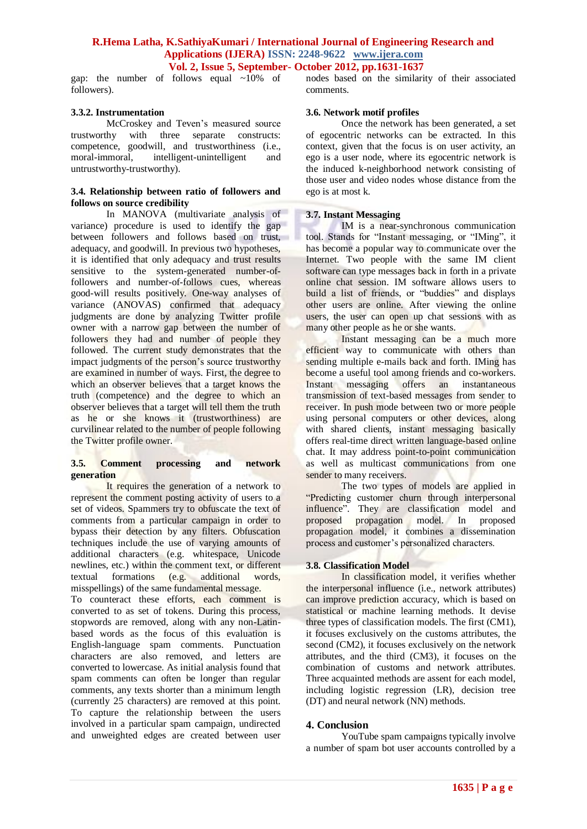gap: the number of follows equal  $\sim 10\%$  of followers).

#### **3.3.2. Instrumentation**

McCroskey and Teven's measured source trustworthy with three separate constructs: competence, goodwill, and trustworthiness (i.e., moral-immoral, intelligent-unintelligent and untrustworthy-trustworthy).

# **3.4. Relationship between ratio of followers and follows on source credibility**

In MANOVA (multivariate analysis of variance) procedure is used to identify the gap between followers and follows based on trust, adequacy, and goodwill. In previous two hypotheses, it is identified that only adequacy and trust results sensitive to the system-generated number-offollowers and number-of-follows cues, whereas good-will results positively. One-way analyses of variance (ANOVAS) confirmed that adequacy judgments are done by analyzing Twitter profile owner with a narrow gap between the number of followers they had and number of people they followed. The current study demonstrates that the impact judgments of the person's source trustworthy are examined in number of ways. First, the degree to which an observer believes that a target knows the truth (competence) and the degree to which an observer believes that a target will tell them the truth as he or she knows it (trustworthiness) are curvilinear related to the number of people following the Twitter profile owner.

#### **3.5. Comment processing and network generation**

It requires the generation of a network to represent the comment posting activity of users to a set of videos. Spammers try to obfuscate the text of comments from a particular campaign in order to bypass their detection by any filters. Obfuscation techniques include the use of varying amounts of additional characters (e.g. whitespace, Unicode newlines, etc.) within the comment text, or different textual formations (e.g. additional words, misspellings) of the same fundamental message.

To counteract these efforts, each comment is converted to as set of tokens. During this process, stopwords are removed, along with any non-Latinbased words as the focus of this evaluation is English-language spam comments. Punctuation characters are also removed, and letters are converted to lowercase. As initial analysis found that spam comments can often be longer than regular comments, any texts shorter than a minimum length (currently 25 characters) are removed at this point. To capture the relationship between the users involved in a particular spam campaign, undirected and unweighted edges are created between user

nodes based on the similarity of their associated comments.

#### **3.6. Network motif profiles**

Once the network has been generated, a set of egocentric networks can be extracted. In this context, given that the focus is on user activity, an ego is a user node, where its egocentric network is the induced k-neighborhood network consisting of those user and video nodes whose distance from the ego is at most k.

## **3.7. Instant Messaging**

IM is a near-synchronous communication tool. Stands for "Instant messaging, or "IMing", it has become a popular way to communicate over the Internet. Two people with the same IM client software can type messages back in forth in a private online chat session. IM software allows users to build a list of friends, or "buddies" and displays other users are online. After viewing the online users, the user can open up chat sessions with as many other people as he or she wants.

Instant messaging can be a much more efficient way to communicate with others than sending multiple e-mails back and forth. IMing has become a useful tool among friends and co-workers. Instant messaging offers an instantaneous transmission of text-based messages from sender to receiver. In push mode between two or more people using personal computers or other devices, along with shared clients, instant messaging basically offers real-time direct written language-based online chat. It may address point-to-point communication as well as multicast communications from one sender to many receivers.

The two types of models are applied in "Predicting customer churn through interpersonal influence". They are classification model and proposed propagation model. In proposed propagation model, it combines a dissemination process and customer's personalized characters.

## **3.8. Classification Model**

In classification model, it verifies whether the interpersonal influence (i.e., network attributes) can improve prediction accuracy, which is based on statistical or machine learning methods. It devise three types of classification models. The first (CM1), it focuses exclusively on the customs attributes, the second (CM2), it focuses exclusively on the network attributes, and the third (CM3), it focuses on the combination of customs and network attributes. Three acquainted methods are assent for each model, including logistic regression (LR), decision tree (DT) and neural network (NN) methods.

## **4. Conclusion**

YouTube spam campaigns typically involve a number of spam bot user accounts controlled by a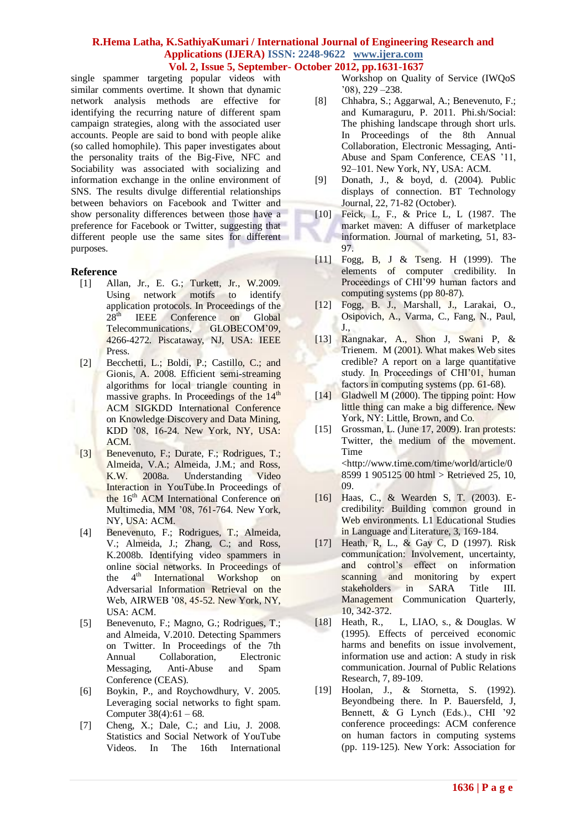single spammer targeting popular videos with similar comments overtime. It shown that dynamic network analysis methods are effective for identifying the recurring nature of different spam campaign strategies, along with the associated user accounts. People are said to bond with people alike (so called homophile). This paper investigates about the personality traits of the Big-Five, NFC and Sociability was associated with socializing and information exchange in the online environment of SNS. The results divulge differential relationships between behaviors on Facebook and Twitter and show personality differences between those have a preference for Facebook or Twitter, suggesting that different people use the same sites for different purposes.

# **Reference**

- [1] Allan, Jr., E. G.; Turkett, Jr., W.2009. Using network motifs to identify application protocols. In Proceedings of the 28<sup>th</sup> IEEE Conference on Global Telecommunications, GLOBECOM'09, 4266-4272. Piscataway, NJ, USA: IEEE Press.
- [2] Becchetti, L.; Boldi, P.; Castillo, C.; and Gionis, A. 2008. Efficient semi-streaming algorithms for local triangle counting in massive graphs. In Proceedings of the 14<sup>th</sup> ACM SIGKDD International Conference on Knowledge Discovery and Data Mining, KDD '08, 16-24. New York, NY, USA: ACM.
- [3] Benevenuto, F.; Durate, F.; Rodrigues, T.; Almeida, V.A.; Almeida, J.M.; and Ross, K.W. 2008a. Understanding Video Interaction in YouTube.In Proceedings of the 16<sup>th</sup> ACM International Conference on Multimedia, MM '08, 761-764. New York, NY, USA: ACM.
- [4] Benevenuto, F.; Rodrigues, T.; Almeida, V.; Almeida, J.; Zhang, C.; and Ross, K.2008b. Identifying video spammers in online social networks. In Proceedings of<br>the 4<sup>th</sup> International Workshop on the 4<sup>th</sup> International Workshop on Adversarial Information Retrieval on the Web, AIRWEB '08, 45-52. New York, NY, USA: ACM.
- [5] Benevenuto, F.; Magno, G.; Rodrigues, T.; and Almeida, V.2010. Detecting Spammers on Twitter. In Proceedings of the 7th Annual Collaboration, Electronic Messaging, Anti-Abuse and Spam Conference (CEAS).
- [6] Boykin, P., and Roychowdhury, V. 2005. Leveraging social networks to fight spam. Computer 38(4):61 – 68.
- [7] Cheng, X.; Dale, C.; and Liu, J. 2008. Statistics and Social Network of YouTube Videos. In The 16th International

Workshop on Quality of Service (IWQoS '08), 229 –238.

- [8] Chhabra, S.; Aggarwal, A.; Benevenuto, F.; and Kumaraguru, P. 2011. Phi.sh/Social: The phishing landscape through short urls. In Proceedings of the 8th Annual Collaboration, Electronic Messaging, Anti-Abuse and Spam Conference, CEAS '11, 92–101. New York, NY, USA: ACM.
- [9] Donath, J., & boyd, d. (2004). Public displays of connection. BT Technology Journal, 22, 71-82 (October).
- [10] Feick, L, F., & Price L, L (1987. The market maven: A diffuser of marketplace information. Journal of marketing, 51, 83- 97.
- [11] Fogg, B, J & Tseng. H (1999). The elements of computer credibility. In Proceedings of CHI'99 human factors and computing systems (pp 80-87).
- [12] Fogg, B. J., Marshall, J., Larakai, O., Osipovich, A., Varma, C., Fang, N., Paul, J.,
- [13] Rangnakar, A., Shon J, Swani P, & Trienem. M (2001). What makes Web sites credible? A report on a large quantitative study. In Proceedings of CHI'01, human factors in computing systems (pp. 61-68).
- [14] Gladwell M (2000). The tipping point: How little thing can make a big difference. New York, NY: Little, Brown, and Co.
- [15] Grossman, L. (June 17, 2009). Iran protests: Twitter, the medium of the movement. Time [<http://www.time.com/time/world/article/0](http://www.time.com/time/world/article/0%208599%201%20905125%2000%20html)  [8599 1 905125 00 html](http://www.time.com/time/world/article/0%208599%201%20905125%2000%20html) > Retrieved 25, 10, 09.
- [16] Haas, C., & Wearden S, T. (2003). Ecredibility: Building common ground in Web environments. L1 Educational Studies in Language and Literature, 3, 169-184.
- [17] Heath, R, L., & Gay C, D (1997). Risk communication: Involvement, uncertainty, and control's effect on information scanning and monitoring by expert stakeholders in SARA Title III. Management Communication Quarterly, 10, 342-372.
- [18] Heath, R., L., LIAO, s., & Douglas. W (1995). Effects of perceived economic harms and benefits on issue involvement, information use and action: A study in risk communication. Journal of Public Relations Research, 7, 89-109.
- [19] Hoolan, J., & Stornetta, S. (1992). Beyondbeing there. In P. Bauersfeld, J, Bennett, & G Lynch (Eds.)., CHI '92 conference proceedings: ACM conference on human factors in computing systems (pp. 119-125). New York: Association for